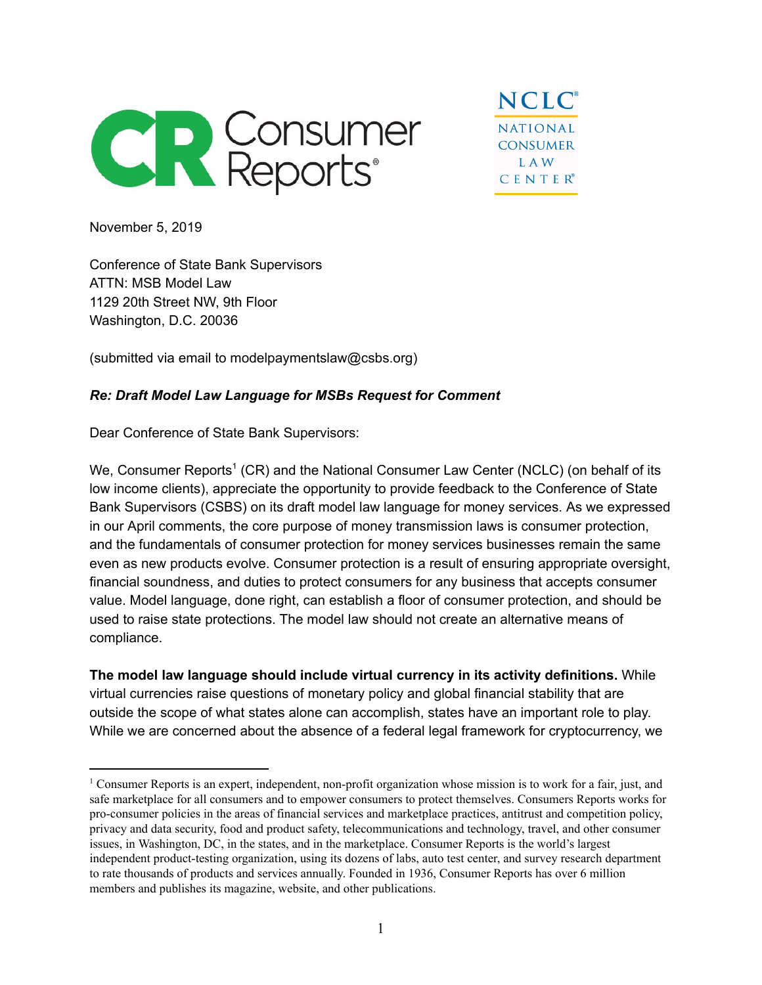

**NCLC NATIONAL CONSUMER LAW CENTER®** 

November 5, 2019

Conference of State Bank Supervisors ATTN: MSB Model Law 1129 20th Street NW, 9th Floor Washington, D.C. 20036

(submitted via email to modelpaymentslaw@csbs.org)

## *Re: Draft Model Law Language for MSBs Request for Comment*

Dear Conference of State Bank Supervisors:

We, Consumer Reports $^1$  (CR) and the National Consumer Law Center (NCLC) (on behalf of its low income clients), appreciate the opportunity to provide feedback to the Conference of State Bank Supervisors (CSBS) on its draft model law language for money services. As we expressed in our April comments, the core purpose of money transmission laws is consumer protection, and the fundamentals of consumer protection for money services businesses remain the same even as new products evolve. Consumer protection is a result of ensuring appropriate oversight, financial soundness, and duties to protect consumers for any business that accepts consumer value. Model language, done right, can establish a floor of consumer protection, and should be used to raise state protections. The model law should not create an alternative means of compliance.

**The model law language should include virtual currency in its activity definitions.** While virtual currencies raise questions of monetary policy and global financial stability that are outside the scope of what states alone can accomplish, states have an important role to play. While we are concerned about the absence of a federal legal framework for cryptocurrency, we

<sup>1</sup> Consumer Reports is an expert, independent, non-profit organization whose mission is to work for a fair, just, and safe marketplace for all consumers and to empower consumers to protect themselves. Consumers Reports works for pro-consumer policies in the areas of financial services and marketplace practices, antitrust and competition policy, privacy and data security, food and product safety, telecommunications and technology, travel, and other consumer issues, in Washington, DC, in the states, and in the marketplace. Consumer Reports is the world's largest independent product-testing organization, using its dozens of labs, auto test center, and survey research department to rate thousands of products and services annually. Founded in 1936, Consumer Reports has over 6 million members and publishes its magazine, website, and other publications.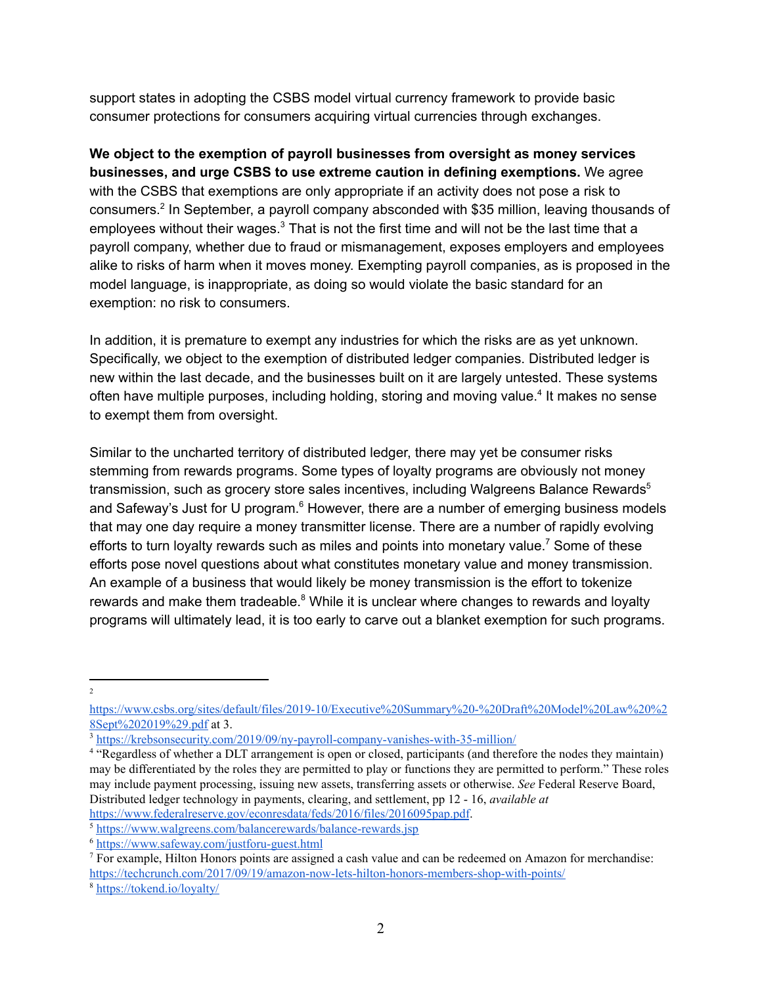support states in adopting the CSBS model virtual currency framework to provide basic consumer protections for consumers acquiring virtual currencies through exchanges.

**We object to the exemption of payroll businesses from oversight as money services businesses, and urge CSBS to use extreme caution in defining exemptions.** We agree with the CSBS that exemptions are only appropriate if an activity does not pose a risk to consumers.<sup>2</sup> In September, a payroll company absconded with \$35 million, leaving thousands of employees without their wages. $^3$  That is not the first time and will not be the last time that a payroll company, whether due to fraud or mismanagement, exposes employers and employees alike to risks of harm when it moves money. Exempting payroll companies, as is proposed in the model language, is inappropriate, as doing so would violate the basic standard for an exemption: no risk to consumers.

In addition, it is premature to exempt any industries for which the risks are as yet unknown. Specifically, we object to the exemption of distributed ledger companies. Distributed ledger is new within the last decade, and the businesses built on it are largely untested. These systems often have multiple purposes, including holding, storing and moving value.<sup>4</sup> It makes no sense to exempt them from oversight.

Similar to the uncharted territory of distributed ledger, there may yet be consumer risks stemming from rewards programs. Some types of loyalty programs are obviously not money transmission, such as grocery store sales incentives, including Walgreens Balance Rewards $^5$ and Safeway's Just for U program. $^6$  However, there are a number of emerging business models that may one day require a money transmitter license. There are a number of rapidly evolving efforts to turn loyalty rewards such as miles and points into monetary value.<sup>7</sup> Some of these efforts pose novel questions about what constitutes monetary value and money transmission. An example of a business that would likely be money transmission is the effort to tokenize rewards and make them tradeable. $8$  While it is unclear where changes to rewards and loyalty programs will ultimately lead, it is too early to carve out a blanket exemption for such programs.

2

[https://www.csbs.org/sites/default/files/2019-10/Executive%20Summary%20-%20Draft%20Model%20Law%20%2](https://www.csbs.org/sites/default/files/2019-10/Executive%20Summary%20-%20Draft%20Model%20Law%20%28Sept%202019%29.pdf) [8Sept%202019%29.pdf](https://www.csbs.org/sites/default/files/2019-10/Executive%20Summary%20-%20Draft%20Model%20Law%20%28Sept%202019%29.pdf) at 3.

<sup>3</sup> <https://krebsonsecurity.com/2019/09/ny-payroll-company-vanishes-with-35-million/>

<sup>4</sup> "Regardless of whether a DLT arrangement is open or closed, participants (and therefore the nodes they maintain) may be differentiated by the roles they are permitted to play or functions they are permitted to perform." These roles may include payment processing, issuing new assets, transferring assets or otherwise. *See* Federal Reserve Board, Distributed ledger technology in payments, clearing, and settlement, pp 12 - 16, *available at* <https://www.federalreserve.gov/econresdata/feds/2016/files/2016095pap.pdf>.

<sup>5</sup> <https://www.walgreens.com/balancerewards/balance-rewards.jsp>

<sup>6</sup> <https://www.safeway.com/justforu-guest.html>

 $<sup>7</sup>$  For example, Hilton Honors points are assigned a cash value and can be redeemed on Amazon for merchandise:</sup> <https://techcrunch.com/2017/09/19/amazon-now-lets-hilton-honors-members-shop-with-points/>

<sup>8</sup> <https://tokend.io/loyalty/>